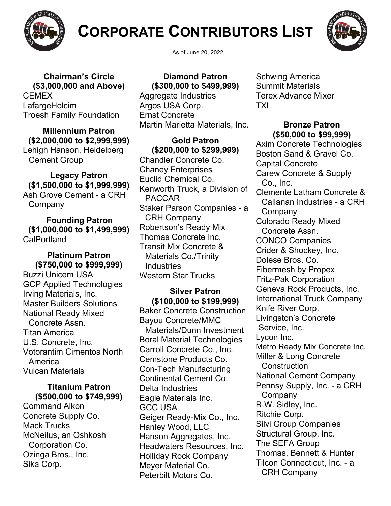

# **CORPORATE CONTRIBUTORS LIST**



**Chairman's Circle (\$3,000,000 and Above) CEMEX** LafargeHolcim Troesh Family Foundation

**Millennium Patron (\$2,000,000 to \$2,999,999)** Lehigh Hanson, Heidelberg Cement Group

**Legacy Patron (\$1,500,000 to \$1,999,999)** Ash Grove Cement - a CRH Company

**Founding Patron (\$1,000,000 to \$1,499,999) CalPortland** 

**Platinum Patron (\$750,000 to \$999,999)** Buzzi Unicem USA GCP Applied Technologies Irving Materials, Inc. Master Builders Solutions National Ready Mixed Concrete Assn. Titan America U.S. Concrete, Inc. Votorantim Cimentos North America Vulcan Materials

### **Titanium Patron (\$500,000 to \$749,999)**

Command Alkon Concrete Supply Co. Mack Trucks McNeilus, an Oshkosh Corporation Co. Ozinga Bros., Inc. Sika Corp.

As of June 20, 2022

**Diamond Patron (\$300,000 to \$499,999)**

Aggregate Industries Argos USA Corp. Ernst Concrete Martin Marietta Materials, Inc.

**Gold Patron (\$200,000 to \$299,999)**

Chandler Concrete Co. Chaney Enterprises Euclid Chemical Co. Kenworth Truck, a Division of PACCAR Staker Parson Companies - a CRH Company Robertson's Ready Mix Thomas Concrete Inc. Transit Mix Concrete & Materials Co./Trinity Industries Western Star Trucks

## **Silver Patron (\$100,000 to \$199,999)**

Baker Concrete Construction Bayou Concrete/MMC Materials/Dunn Investment Boral Material Technologies Carroll Concrete Co., Inc. Cemstone Products Co. Con-Tech Manufacturing Continental Cement Co. Delta Industries Eagle Materials Inc. GCC USA Geiger Ready-Mix Co., Inc. Hanley Wood, LLC Hanson Aggregates, Inc. Headwaters Resources, Inc. Holliday Rock Company Meyer Material Co. Peterbilt Motors Co.

Schwing America Summit Materials Terex Advance Mixer TXI

## **Bronze Patron (\$50,000 to \$99,999)**

Axim Concrete Technologies Boston Sand & Gravel Co. Capital Concrete Carew Concrete & Supply Co., Inc. Clemente Latham Concrete & Callanan Industries - a CRH **Company** Colorado Ready Mixed Concrete Assn. CONCO Companies Crider & Shockey, Inc. Dolese Bros. Co. Fibermesh by Propex Fritz-Pak Corporation Geneva Rock Products, Inc. International Truck Company Knife River Corp. Livingston's Concrete Service, Inc. Lycon Inc. Metro Ready Mix Concrete Inc. Miller & Long Concrete **Construction** National Cement Company Pennsy Supply, Inc. - a CRH **Company** R.W. Sidley, Inc. Ritchie Corp. Silvi Group Companies Structural Group, Inc. The SEFA Group Thomas, Bennett & Hunter Tilcon Connecticut, Inc. - a CRH Company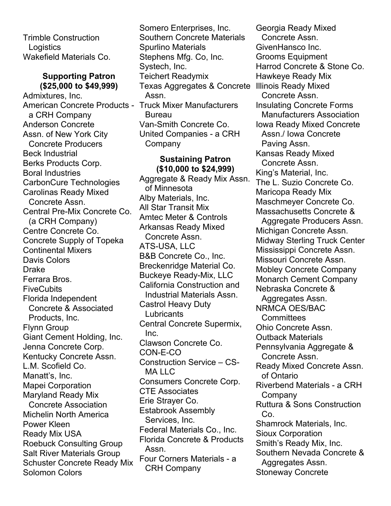Trimble Construction **Logistics** Wakefield Materials Co.

#### **Supporting Patron (\$25,000 to \$49,999)**

Admixtures, Inc. American Concrete Products - Truck Mixer Manufacturers a CRH Company Anderson Concrete Assn. of New York City Concrete Producers Beck Industrial Berks Products Corp. Boral Industries CarbonCure Technologies Carolinas Ready Mixed Concrete Assn. Central Pre-Mix Concrete Co. (a CRH Company) Centre Concrete Co. Concrete Supply of Topeka Continental Mixers Davis Colors Drake Ferrara Bros. **FiveCubits** Florida Independent Concrete & Associated Products, Inc. Flynn Group Giant Cement Holding, Inc. Jenna Concrete Corp. Kentucky Concrete Assn. L.M. Scofield Co. Manatt's, Inc. Mapei Corporation Maryland Ready Mix Concrete Association Michelin North America Power Kleen Ready Mix USA Roebuck Consulting Group Salt River Materials Group

Schuster Concrete Ready Mix

Solomon Colors

Inc. Clawson Concrete Co. CON-E-CO Construction Service – CS-MA LLC Consumers Concrete Corp. CTE Associates Erie Strayer Co. Estabrook Assembly Services, Inc. Federal Materials Co., Inc. Florida Concrete & Products Assn. Four Corners Materials - a CRH Company

Central Concrete Supermix,

Somero Enterprises, Inc. Southern Concrete Materials

Stephens Mfg. Co, Inc.

Van-Smith Concrete Co. United Companies - a CRH

Amtec Meter & Controls Arkansas Ready Mixed Concrete Assn. ATS-USA, LLC

B&B Concrete Co., Inc. Breckenridge Material Co. Buckeye Ready-Mix, LLC California Construction and Industrial Materials Assn.

Castrol Heavy Duty

**Lubricants** 

**Sustaining Patron (\$10,000 to \$24,999)** Aggregate & Ready Mix Assn.

Spurlino Materials

Teichert Readymix

Systech, Inc.

Assn.

**Bureau** 

Company

of Minnesota Alby Materials, Inc. All Star Transit Mix

Texas Aggregates & Concrete Illinois Ready Mixed Georgia Ready Mixed Concrete Assn. GivenHansco Inc. Grooms Equipment Harrod Concrete & Stone Co. Hawkeye Ready Mix Concrete Assn. Insulating Concrete Forms Manufacturers Association Iowa Ready Mixed Concrete Assn./ Iowa Concrete Paving Assn. Kansas Ready Mixed Concrete Assn. King's Material, Inc. The L. Suzio Concrete Co. Maricopa Ready Mix Maschmeyer Concrete Co. Massachusetts Concrete & Aggregate Producers Assn. Michigan Concrete Assn. Midway Sterling Truck Center Mississippi Concrete Assn. Missouri Concrete Assn. Mobley Concrete Company Monarch Cement Company Nebraska Concrete & Aggregates Assn. NRMCA OES/BAC **Committees** Ohio Concrete Assn. Outback Materials Pennsylvania Aggregate & Concrete Assn. Ready Mixed Concrete Assn. of Ontario Riverbend Materials - a CRH Company Ruttura & Sons Construction Co. Shamrock Materials, Inc. Sioux Corporation Smith's Ready Mix, Inc. Southern Nevada Concrete & Aggregates Assn. Stoneway Concrete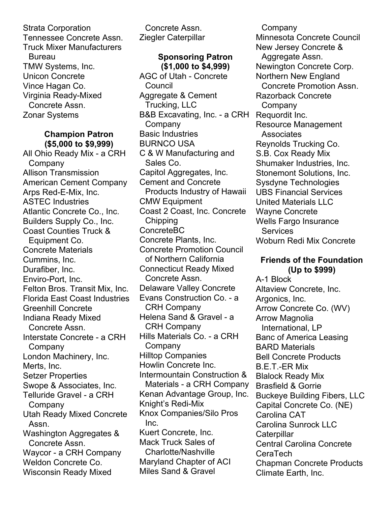Strata Corporation Tennessee Concrete Assn. Truck Mixer Manufacturers Bureau TMW Systems, Inc. Unicon Concrete Vince Hagan Co. Virginia Ready-Mixed Concrete Assn. Zonar Systems

## **Champion Patron (\$5,000 to \$9,999)**

All Ohio Ready Mix - a CRH **Company** Allison Transmission American Cement Company Arps Red-E-Mix, Inc. ASTEC Industries Atlantic Concrete Co., Inc. Builders Supply Co., Inc. Coast Counties Truck & Equipment Co. Concrete Materials Cummins, Inc. Durafiber, Inc. Enviro-Port, Inc. Felton Bros. Transit Mix, Inc. Florida East Coast Industries Greenhill Concrete Indiana Ready Mixed Concrete Assn. Interstate Concrete - a CRH Company London Machinery, Inc. Merts, Inc. Setzer Properties Swope & Associates, Inc. Telluride Gravel - a CRH **Company** Utah Ready Mixed Concrete Assn. Washington Aggregates & Concrete Assn. Waycor - a CRH Company Weldon Concrete Co. Wisconsin Ready Mixed

Concrete Assn. Ziegler Caterpillar

## **Sponsoring Patron (\$1,000 to \$4,999)**

AGC of Utah - Concrete Council Aggregate & Cement Trucking, LLC B&B Excavating, Inc. - a CRH **Company** Basic Industries BURNCO USA C & W Manufacturing and Sales Co. Capitol Aggregates, Inc. Cement and Concrete Products Industry of Hawaii CMW Equipment Coast 2 Coast, Inc. Concrete **Chipping** ConcreteBC Concrete Plants, Inc. Concrete Promotion Council of Northern California Connecticut Ready Mixed Concrete Assn. Delaware Valley Concrete Evans Construction Co. - a CRH Company Helena Sand & Gravel - a CRH Company Hills Materials Co. - a CRH **Company** Hilltop Companies Howlin Concrete Inc. Intermountain Construction & Materials - a CRH Company Kenan Advantage Group, Inc. Knight's Redi-Mix Knox Companies/Silo Pros Inc. Kuert Concrete, Inc. Mack Truck Sales of Charlotte/Nashville Maryland Chapter of ACI Miles Sand & Gravel

**Company** Minnesota Concrete Council New Jersey Concrete & Aggregate Assn. Newington Concrete Corp. Northern New England Concrete Promotion Assn. Razorback Concrete Company Requordit Inc. Resource Management **Associates** Reynolds Trucking Co. S.B. Cox Ready Mix Shumaker Industries, Inc. Stonemont Solutions, Inc. Sysdyne Technologies UBS Financial Services United Materials LLC Wayne Concrete Wells Fargo Insurance Services Woburn Redi Mix Concrete

## **Friends of the Foundation (Up to \$999)**

A-1 Block Altaview Concrete, Inc. Argonics, Inc. Arrow Concrete Co. (WV) Arrow Magnolia International, LP Banc of America Leasing BARD Materials Bell Concrete Products B.E.T.-ER Mix Blalock Ready Mix Brasfield & Gorrie Buckeye Building Fibers, LLC Capital Concrete Co. (NE) Carolina CAT Carolina Sunrock LLC **Caterpillar** Central Carolina Concrete CeraTech Chapman Concrete Products Climate Earth, Inc.